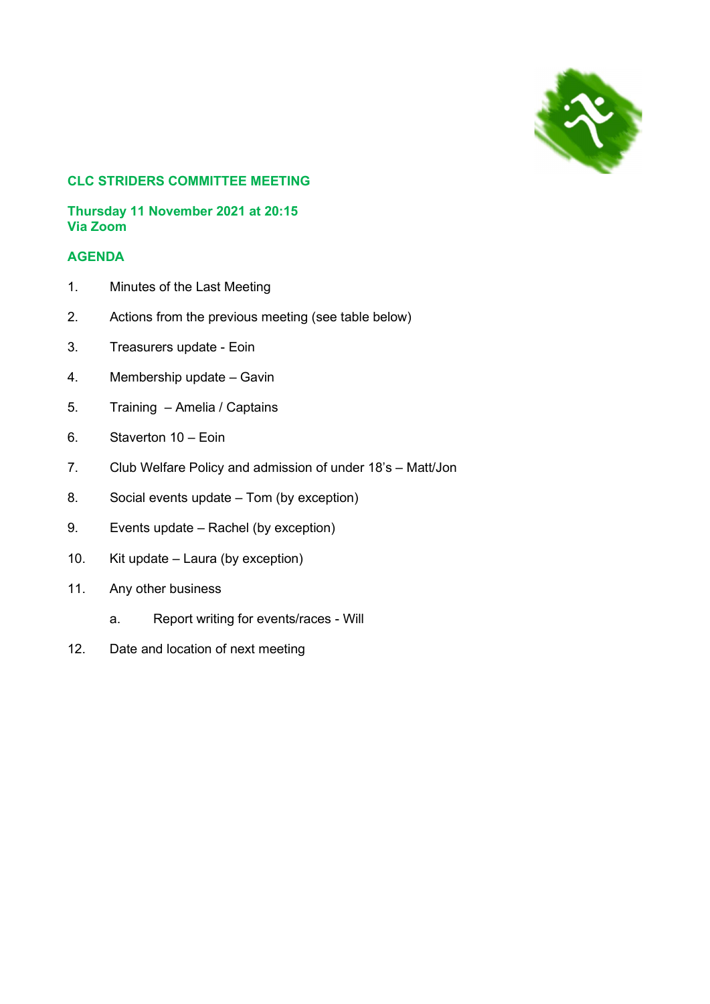

# CLC STRIDERS COMMITTEE MEETING

#### Thursday 11 November 2021 at 20:15 Via Zoom

# AGENDA

- 1. Minutes of the Last Meeting
- 2. Actions from the previous meeting (see table below)
- 3. Treasurers update Eoin
- 4. Membership update Gavin
- 5. Training Amelia / Captains
- 6. Staverton 10 Eoin
- 7. Club Welfare Policy and admission of under 18's Matt/Jon
- 8. Social events update Tom (by exception)
- 9. Events update Rachel (by exception)
- 10. Kit update Laura (by exception)
- 11. Any other business
	- a. Report writing for events/races Will
- 12. Date and location of next meeting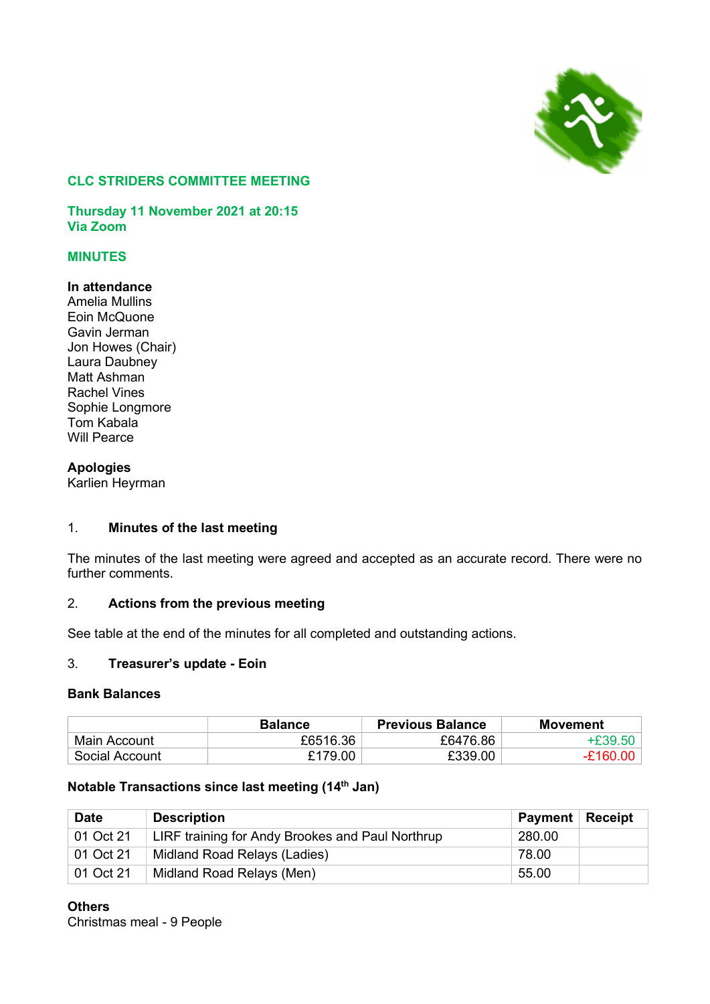

## CLC STRIDERS COMMITTEE MEETING

Thursday 11 November 2021 at 20:15 Via Zoom

# MINUTES

#### In attendance

Amelia Mullins Eoin McQuone Gavin Jerman Jon Howes (Chair) Laura Daubney Matt Ashman Rachel Vines Sophie Longmore Tom Kabala Will Pearce

#### **Apologies**

Karlien Heyrman

## 1. Minutes of the last meeting

The minutes of the last meeting were agreed and accepted as an accurate record. There were no further comments.

## 2. Actions from the previous meeting

See table at the end of the minutes for all completed and outstanding actions.

#### 3. Treasurer's update - Eoin

#### Bank Balances

|                | <b>Balance</b> | <b>Previous Balance</b> | <b>Movement</b> |
|----------------|----------------|-------------------------|-----------------|
| Main Account   | £6516.36       | £6476.86                |                 |
| Social Account | £179.00        | £339.00                 | ቶ160-           |

#### Notable Transactions since last meeting (14<sup>th</sup> Jan)

| <b>Date</b> | <b>Description</b>                               | <b>Payment</b> | <b>Receipt</b> |
|-------------|--------------------------------------------------|----------------|----------------|
| 01 Oct 21   | LIRF training for Andy Brookes and Paul Northrup | 280.00         |                |
| 01 Oct 21   | Midland Road Relays (Ladies)                     | 78.00          |                |
| 01 Oct 21   | Midland Road Relays (Men)                        | 55.00          |                |

**Others** Christmas meal - 9 People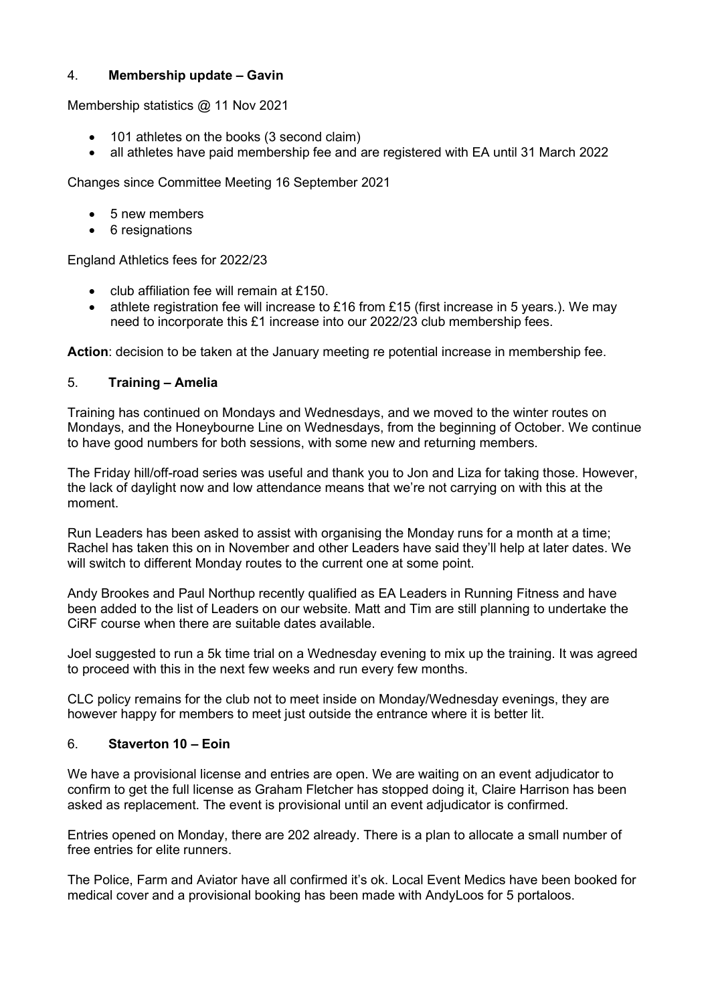# 4. Membership update – Gavin

Membership statistics @ 11 Nov 2021

- 101 athletes on the books (3 second claim)
- all athletes have paid membership fee and are registered with EA until 31 March 2022

Changes since Committee Meeting 16 September 2021

- 5 new members
- 6 resignations

England Athletics fees for 2022/23

- club affiliation fee will remain at £150.
- athlete registration fee will increase to £16 from £15 (first increase in 5 years.). We may need to incorporate this £1 increase into our 2022/23 club membership fees.

Action: decision to be taken at the January meeting re potential increase in membership fee.

#### 5. Training – Amelia

Training has continued on Mondays and Wednesdays, and we moved to the winter routes on Mondays, and the Honeybourne Line on Wednesdays, from the beginning of October. We continue to have good numbers for both sessions, with some new and returning members.

The Friday hill/off-road series was useful and thank you to Jon and Liza for taking those. However, the lack of daylight now and low attendance means that we're not carrying on with this at the moment.

Run Leaders has been asked to assist with organising the Monday runs for a month at a time; Rachel has taken this on in November and other Leaders have said they'll help at later dates. We will switch to different Monday routes to the current one at some point.

Andy Brookes and Paul Northup recently qualified as EA Leaders in Running Fitness and have been added to the list of Leaders on our website. Matt and Tim are still planning to undertake the CiRF course when there are suitable dates available.

Joel suggested to run a 5k time trial on a Wednesday evening to mix up the training. It was agreed to proceed with this in the next few weeks and run every few months.

CLC policy remains for the club not to meet inside on Monday/Wednesday evenings, they are however happy for members to meet just outside the entrance where it is better lit.

#### 6. Staverton 10 – Eoin

We have a provisional license and entries are open. We are waiting on an event adjudicator to confirm to get the full license as Graham Fletcher has stopped doing it, Claire Harrison has been asked as replacement. The event is provisional until an event adjudicator is confirmed.

Entries opened on Monday, there are 202 already. There is a plan to allocate a small number of free entries for elite runners.

The Police, Farm and Aviator have all confirmed it's ok. Local Event Medics have been booked for medical cover and a provisional booking has been made with AndyLoos for 5 portaloos.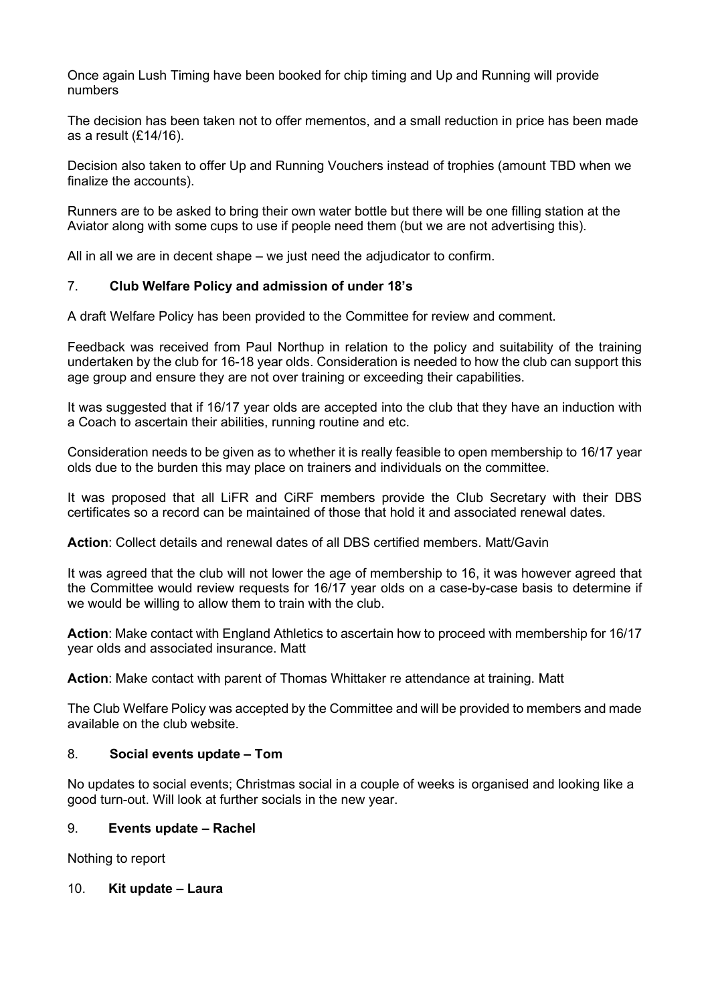Once again Lush Timing have been booked for chip timing and Up and Running will provide numbers

The decision has been taken not to offer mementos, and a small reduction in price has been made as a result (£14/16).

Decision also taken to offer Up and Running Vouchers instead of trophies (amount TBD when we finalize the accounts).

Runners are to be asked to bring their own water bottle but there will be one filling station at the Aviator along with some cups to use if people need them (but we are not advertising this).

All in all we are in decent shape – we just need the adjudicator to confirm.

#### 7. Club Welfare Policy and admission of under 18's

A draft Welfare Policy has been provided to the Committee for review and comment.

Feedback was received from Paul Northup in relation to the policy and suitability of the training undertaken by the club for 16-18 year olds. Consideration is needed to how the club can support this age group and ensure they are not over training or exceeding their capabilities.

It was suggested that if 16/17 year olds are accepted into the club that they have an induction with a Coach to ascertain their abilities, running routine and etc.

Consideration needs to be given as to whether it is really feasible to open membership to 16/17 year olds due to the burden this may place on trainers and individuals on the committee.

It was proposed that all LiFR and CiRF members provide the Club Secretary with their DBS certificates so a record can be maintained of those that hold it and associated renewal dates.

Action: Collect details and renewal dates of all DBS certified members. Matt/Gavin

It was agreed that the club will not lower the age of membership to 16, it was however agreed that the Committee would review requests for 16/17 year olds on a case-by-case basis to determine if we would be willing to allow them to train with the club.

Action: Make contact with England Athletics to ascertain how to proceed with membership for 16/17 year olds and associated insurance. Matt

Action: Make contact with parent of Thomas Whittaker re attendance at training. Matt

The Club Welfare Policy was accepted by the Committee and will be provided to members and made available on the club website.

#### 8. Social events update – Tom

No updates to social events; Christmas social in a couple of weeks is organised and looking like a good turn-out. Will look at further socials in the new year.

#### 9. Events update – Rachel

Nothing to report

#### 10. Kit update – Laura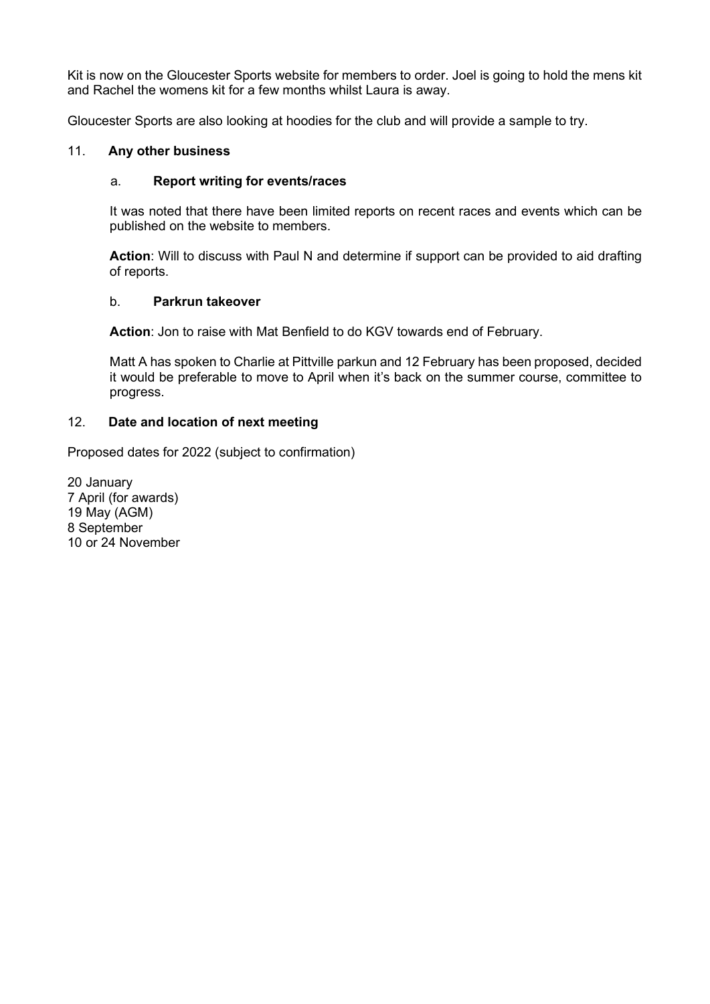Kit is now on the Gloucester Sports website for members to order. Joel is going to hold the mens kit and Rachel the womens kit for a few months whilst Laura is away.

Gloucester Sports are also looking at hoodies for the club and will provide a sample to try.

# 11. Any other business

## a. Report writing for events/races

It was noted that there have been limited reports on recent races and events which can be published on the website to members.

Action: Will to discuss with Paul N and determine if support can be provided to aid drafting of reports.

#### b. Parkrun takeover

Action: Jon to raise with Mat Benfield to do KGV towards end of February.

Matt A has spoken to Charlie at Pittville parkun and 12 February has been proposed, decided it would be preferable to move to April when it's back on the summer course, committee to progress.

### 12. Date and location of next meeting

Proposed dates for 2022 (subject to confirmation)

20 January 7 April (for awards) 19 May (AGM) 8 September 10 or 24 November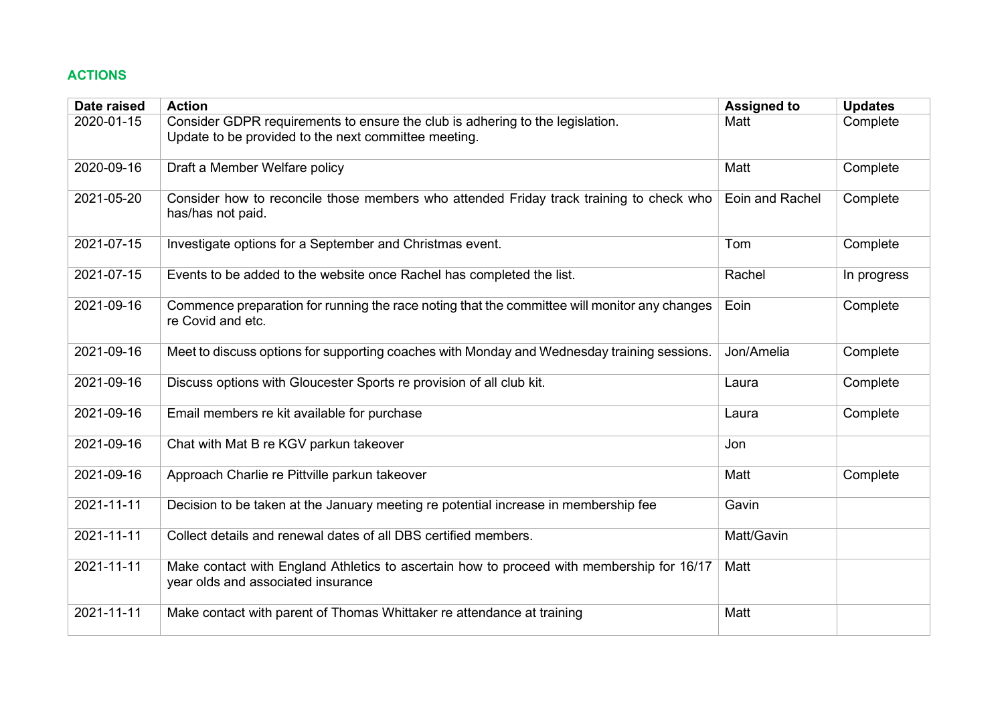# ACTIONS

| Date raised | <b>Action</b>                                                                                                                         | <b>Assigned to</b> | <b>Updates</b> |
|-------------|---------------------------------------------------------------------------------------------------------------------------------------|--------------------|----------------|
| 2020-01-15  | Consider GDPR requirements to ensure the club is adhering to the legislation.<br>Update to be provided to the next committee meeting. | Matt               | Complete       |
| 2020-09-16  | Draft a Member Welfare policy                                                                                                         | Matt               | Complete       |
| 2021-05-20  | Consider how to reconcile those members who attended Friday track training to check who<br>has/has not paid.                          | Eoin and Rachel    | Complete       |
| 2021-07-15  | Investigate options for a September and Christmas event.                                                                              | Tom                | Complete       |
| 2021-07-15  | Events to be added to the website once Rachel has completed the list.                                                                 | Rachel             | In progress    |
| 2021-09-16  | Commence preparation for running the race noting that the committee will monitor any changes<br>re Covid and etc.                     | Eoin               | Complete       |
| 2021-09-16  | Meet to discuss options for supporting coaches with Monday and Wednesday training sessions.                                           | Jon/Amelia         | Complete       |
| 2021-09-16  | Discuss options with Gloucester Sports re provision of all club kit.                                                                  | Laura              | Complete       |
| 2021-09-16  | Email members re kit available for purchase                                                                                           | Laura              | Complete       |
| 2021-09-16  | Chat with Mat B re KGV parkun takeover                                                                                                | Jon                |                |
| 2021-09-16  | Approach Charlie re Pittville parkun takeover                                                                                         | Matt               | Complete       |
| 2021-11-11  | Decision to be taken at the January meeting re potential increase in membership fee                                                   | Gavin              |                |
| 2021-11-11  | Collect details and renewal dates of all DBS certified members.                                                                       | Matt/Gavin         |                |
| 2021-11-11  | Make contact with England Athletics to ascertain how to proceed with membership for 16/17<br>year olds and associated insurance       | Matt               |                |
| 2021-11-11  | Make contact with parent of Thomas Whittaker re attendance at training                                                                | Matt               |                |